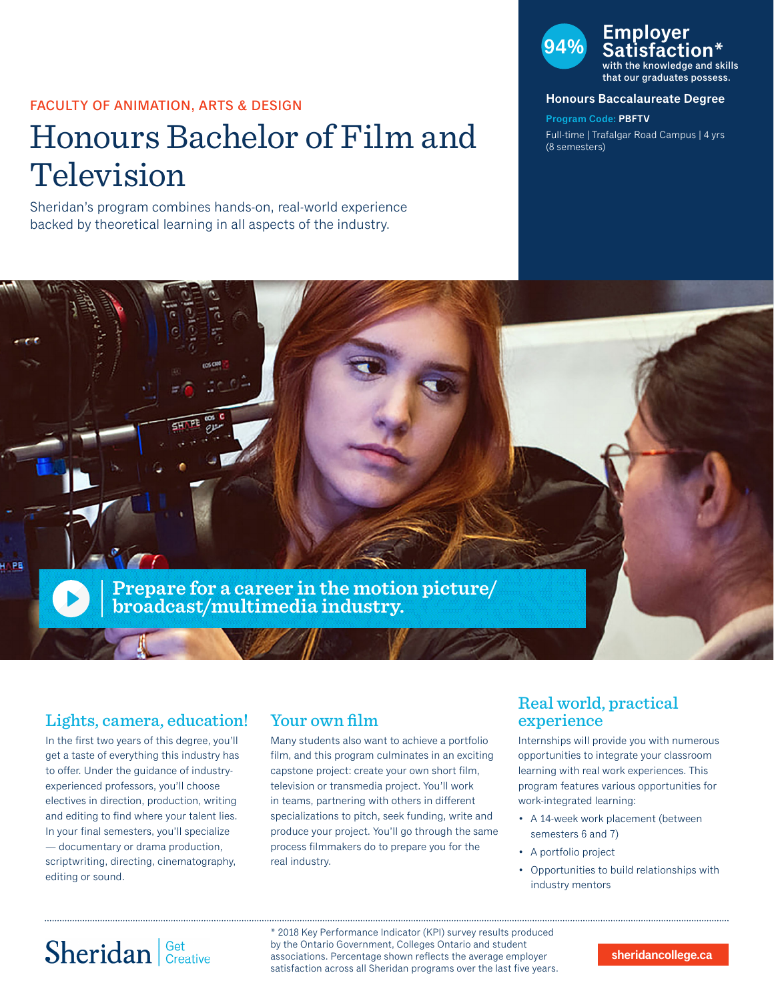### FACULTY OF ANIMATION, ARTS & DESIGN

# Honours Bachelor of Film and Television

Sheridan's program combines hands-on, real-world experience backed by theoretical learning in all aspects of the industry.

# **94% Employer Satisfaction\*** with the knowledge and skills

that our graduates possess.

#### **Honours Baccalaureate Degree**

**Program Code: PBFTV** Full-time | Trafalgar Road Campus | 4 yrs (8 semesters)



## Lights, camera, education!

In the first two years of this degree, you'll get a taste of everything this industry has to offer. Under the guidance of industryexperienced professors, you'll choose electives in direction, production, writing and editing to find where your talent lies. In your final semesters, you'll specialize — documentary or drama production, scriptwriting, directing, cinematography, editing or sound.

## Your own film

Many students also want to achieve a portfolio film, and this program culminates in an exciting capstone project: create your own short film, television or transmedia project. You'll work in teams, partnering with others in different specializations to pitch, seek funding, write and produce your project. You'll go through the same process filmmakers do to prepare you for the real industry.

## Real world, practical experience

Internships will provide you with numerous opportunities to integrate your classroom learning with real work experiences. This program features various opportunities for work-integrated learning:

- A 14-week work placement (between semesters 6 and 7)
- A portfolio project
- Opportunities to build relationships with industry mentors

# Sheridan | Get Creative

\* 2018 Key Performance Indicator (KPI) survey results produced by the Ontario Government, Colleges Ontario and student associations. Percentage shown reflects the average employer satisfaction across all Sheridan programs over the last five years.